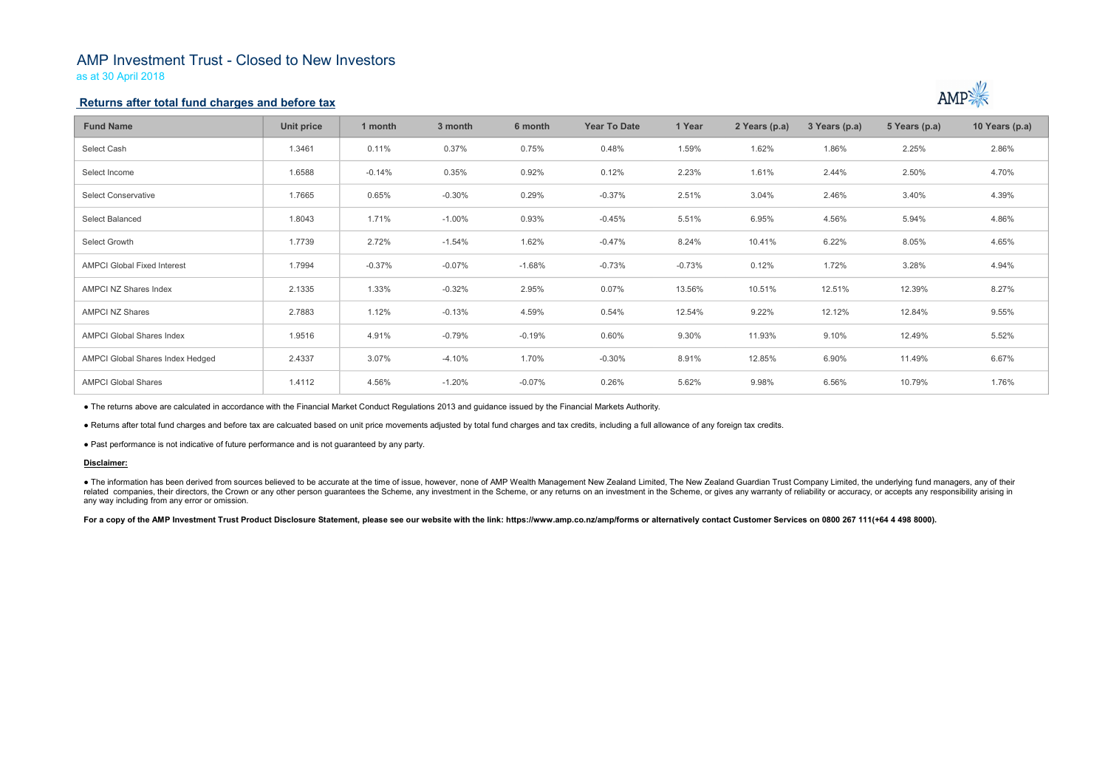# AMP Investment Trust - Closed to New Investors

as at 30 April 2018

### Returns after total fund charges and before tax

| <b>Fund Name</b>                                                                                                                                                                                                                                                                                                                                                                                                                                                                                                 | <b>Unit price</b> | 1 month  | 3 month  | 6 month  | <b>Year To Date</b> | 1 Year   | 2 Years (p.a) | 3 Years (p.a) | 5 Years (p.a) | 10 Years (p.a) |
|------------------------------------------------------------------------------------------------------------------------------------------------------------------------------------------------------------------------------------------------------------------------------------------------------------------------------------------------------------------------------------------------------------------------------------------------------------------------------------------------------------------|-------------------|----------|----------|----------|---------------------|----------|---------------|---------------|---------------|----------------|
| Select Cash                                                                                                                                                                                                                                                                                                                                                                                                                                                                                                      | 1.3461            | 0.11%    | 0.37%    | 0.75%    | 0.48%               | 1.59%    | 1.62%         | 1.86%         | 2.25%         | 2.86%          |
| Select Income                                                                                                                                                                                                                                                                                                                                                                                                                                                                                                    | 1.6588            | $-0.14%$ | 0.35%    | 0.92%    | 0.12%               | 2.23%    | 1.61%         | 2.44%         | 2.50%         | 4.70%          |
| <b>Select Conservative</b>                                                                                                                                                                                                                                                                                                                                                                                                                                                                                       | 1.7665            | 0.65%    | $-0.30%$ | 0.29%    | $-0.37%$            | 2.51%    | 3.04%         | 2.46%         | 3.40%         | 4.39%          |
| <b>Select Balanced</b>                                                                                                                                                                                                                                                                                                                                                                                                                                                                                           | 1.8043            | 1.71%    | $-1.00%$ | 0.93%    | $-0.45%$            | 5.51%    | 6.95%         | 4.56%         | 5.94%         | 4.86%          |
| Select Growth                                                                                                                                                                                                                                                                                                                                                                                                                                                                                                    | 1.7739            | 2.72%    | $-1.54%$ | 1.62%    | $-0.47%$            | 8.24%    | 10.41%        | 6.22%         | 8.05%         | 4.65%          |
| <b>AMPCI Global Fixed Interest</b>                                                                                                                                                                                                                                                                                                                                                                                                                                                                               | 1.7994            | $-0.37%$ | $-0.07%$ | $-1.68%$ | $-0.73%$            | $-0.73%$ | 0.12%         | 1.72%         | 3.28%         | 4.94%          |
| <b>AMPCI NZ Shares Index</b>                                                                                                                                                                                                                                                                                                                                                                                                                                                                                     | 2.1335            | 1.33%    | $-0.32%$ | 2.95%    | 0.07%               | 13.56%   | 10.51%        | 12.51%        | 12.39%        | 8.27%          |
| <b>AMPCI NZ Shares</b>                                                                                                                                                                                                                                                                                                                                                                                                                                                                                           | 2.7883            | 1.12%    | $-0.13%$ | 4.59%    | 0.54%               | 12.54%   | 9.22%         | 12.12%        | 12.84%        | 9.55%          |
| <b>AMPCI Global Shares Index</b>                                                                                                                                                                                                                                                                                                                                                                                                                                                                                 | 1.9516            | 4.91%    | $-0.79%$ | $-0.19%$ | 0.60%               | 9.30%    | 11.93%        | 9.10%         | 12.49%        | 5.52%          |
| <b>AMPCI Global Shares Index Hedged</b>                                                                                                                                                                                                                                                                                                                                                                                                                                                                          | 2.4337            | 3.07%    | $-4.10%$ | 1.70%    | $-0.30%$            | 8.91%    | 12.85%        | 6.90%         | 11.49%        | 6.67%          |
| <b>AMPCI Global Shares</b>                                                                                                                                                                                                                                                                                                                                                                                                                                                                                       | 1.4112            | 4.56%    | $-1.20%$ | $-0.07%$ | 0.26%               | 5.62%    | 9.98%         | 6.56%         | 10.79%        | 1.76%          |
| • The returns above are calculated in accordance with the Financial Market Conduct Regulations 2013 and guidance issued by the Financial Markets Authority.                                                                                                                                                                                                                                                                                                                                                      |                   |          |          |          |                     |          |               |               |               |                |
| . Returns after total fund charges and before tax are calcuated based on unit price movements adjusted by total fund charges and tax credits, including a full allowance of any foreign tax credits.                                                                                                                                                                                                                                                                                                             |                   |          |          |          |                     |          |               |               |               |                |
| • Past performance is not indicative of future performance and is not guaranteed by any party.                                                                                                                                                                                                                                                                                                                                                                                                                   |                   |          |          |          |                     |          |               |               |               |                |
| Disclaimer:                                                                                                                                                                                                                                                                                                                                                                                                                                                                                                      |                   |          |          |          |                     |          |               |               |               |                |
| • The information has been derived from sources believed to be accurate at the time of issue, however, none of AMP Wealth Management New Zealand Limited, The New Zealand Guardian Trust Company Limited, the underlying fund<br>related companies, their directors, the Crown or any other person guarantees the Scheme, any investment in the Scheme, or any returns on an investment in the Scheme, or gives any warranty of reliability or accuracy, or acc<br>any way including from any error or omission. |                   |          |          |          |                     |          |               |               |               |                |
| For a copy of the AMP Investment Trust Product Disclosure Statement, please see our website with the link: https://www.amp.co.nz/amp/forms or alternatively contact Customer Services on 0800 267 111(+64 4 498 8000).                                                                                                                                                                                                                                                                                           |                   |          |          |          |                     |          |               |               |               |                |
|                                                                                                                                                                                                                                                                                                                                                                                                                                                                                                                  |                   |          |          |          |                     |          |               |               |               |                |



### Disclaimer: